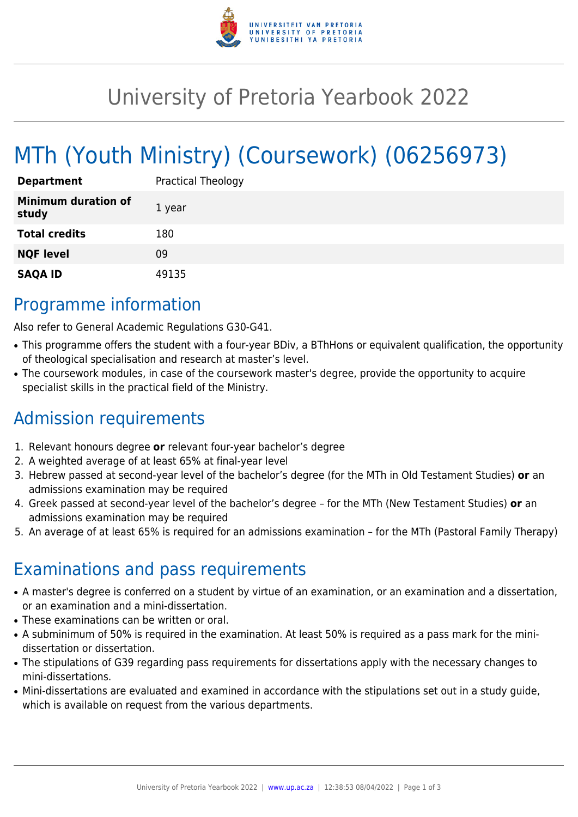

## University of Pretoria Yearbook 2022

# MTh (Youth Ministry) (Coursework) (06256973)

| <b>Department</b>                   | <b>Practical Theology</b> |
|-------------------------------------|---------------------------|
| <b>Minimum duration of</b><br>study | 1 year                    |
| <b>Total credits</b>                | 180                       |
| <b>NQF level</b>                    | 09                        |
| <b>SAQA ID</b>                      | 49135                     |

### Programme information

Also refer to General Academic Regulations G30-G41.

- This programme offers the student with a four-year BDiv, a BThHons or equivalent qualification, the opportunity of theological specialisation and research at master's level.
- The coursework modules, in case of the coursework master's degree, provide the opportunity to acquire specialist skills in the practical field of the Ministry.

### Admission requirements

- 1. Relevant honours degree **or** relevant four-year bachelor's degree
- 2. A weighted average of at least 65% at final-year level
- 3. Hebrew passed at second-year level of the bachelor's degree (for the MTh in Old Testament Studies) **or** an admissions examination may be required
- 4. Greek passed at second-year level of the bachelor's degree for the MTh (New Testament Studies) **or** an admissions examination may be required
- 5. An average of at least 65% is required for an admissions examination for the MTh (Pastoral Family Therapy)

### Examinations and pass requirements

- A master's degree is conferred on a student by virtue of an examination, or an examination and a dissertation, or an examination and a mini-dissertation.
- These examinations can be written or oral.
- A subminimum of 50% is required in the examination. At least 50% is required as a pass mark for the minidissertation or dissertation.
- The stipulations of G39 regarding pass requirements for dissertations apply with the necessary changes to mini-dissertations.
- Mini-dissertations are evaluated and examined in accordance with the stipulations set out in a study guide, which is available on request from the various departments.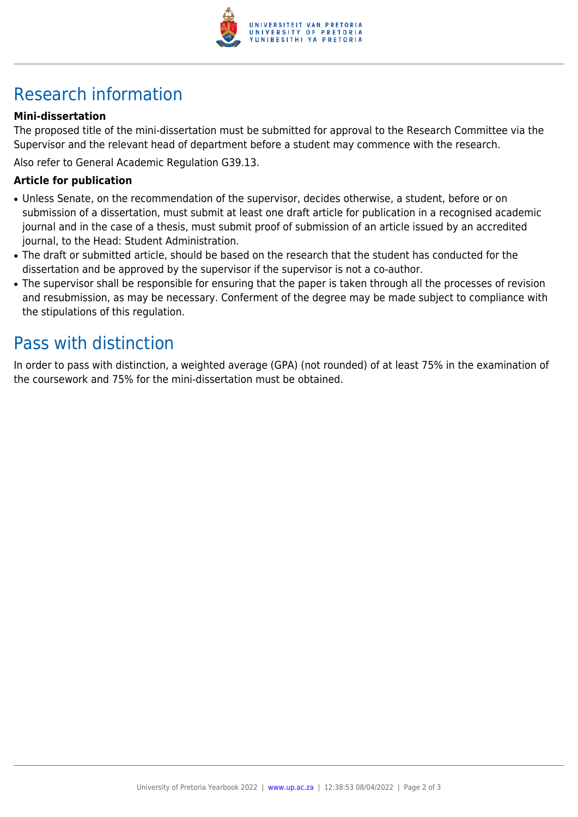

### Research information

#### **Mini-dissertation**

The proposed title of the mini-dissertation must be submitted for approval to the Research Committee via the Supervisor and the relevant head of department before a student may commence with the research.

Also refer to General Academic Regulation G39.13.

#### **Article for publication**

- Unless Senate, on the recommendation of the supervisor, decides otherwise, a student, before or on submission of a dissertation, must submit at least one draft article for publication in a recognised academic journal and in the case of a thesis, must submit proof of submission of an article issued by an accredited journal, to the Head: Student Administration.
- The draft or submitted article, should be based on the research that the student has conducted for the dissertation and be approved by the supervisor if the supervisor is not a co-author.
- The supervisor shall be responsible for ensuring that the paper is taken through all the processes of revision and resubmission, as may be necessary. Conferment of the degree may be made subject to compliance with the stipulations of this regulation.

### Pass with distinction

In order to pass with distinction, a weighted average (GPA) (not rounded) of at least 75% in the examination of the coursework and 75% for the mini-dissertation must be obtained.